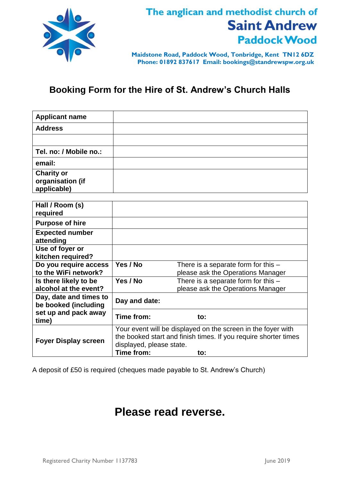

## The anglican and methodist church of **Saint Andrew Paddock Wood**

**Maidstone Road, Paddock Wood, Tonbridge, Kent TN12 6DZ Phone: 01892 837617 Email: bookings@standrewspw.org.uk**

## **Booking Form for the Hire of St. Andrew's Church Halls**

| <b>Applicant name</b>                                |                                                                                                                                                                           |                                                                            |  |
|------------------------------------------------------|---------------------------------------------------------------------------------------------------------------------------------------------------------------------------|----------------------------------------------------------------------------|--|
| <b>Address</b>                                       |                                                                                                                                                                           |                                                                            |  |
|                                                      |                                                                                                                                                                           |                                                                            |  |
| Tel. no: / Mobile no.:                               |                                                                                                                                                                           |                                                                            |  |
| email:                                               |                                                                                                                                                                           |                                                                            |  |
| <b>Charity or</b><br>organisation (if<br>applicable) |                                                                                                                                                                           |                                                                            |  |
| Hall / Room (s)                                      |                                                                                                                                                                           |                                                                            |  |
| required                                             |                                                                                                                                                                           |                                                                            |  |
| <b>Purpose of hire</b>                               |                                                                                                                                                                           |                                                                            |  |
| <b>Expected number</b><br>attending                  |                                                                                                                                                                           |                                                                            |  |
| Use of foyer or<br>kitchen required?                 |                                                                                                                                                                           |                                                                            |  |
| Do you require access<br>to the WiFi network?        | Yes / No                                                                                                                                                                  | There is a separate form for this $-$                                      |  |
| Is there likely to be                                | Yes / No                                                                                                                                                                  | please ask the Operations Manager<br>There is a separate form for this $-$ |  |
| alcohol at the event?                                |                                                                                                                                                                           | please ask the Operations Manager                                          |  |
| Day, date and times to<br>be booked (including       | Day and date:                                                                                                                                                             |                                                                            |  |
| set up and pack away<br>time)                        | Time from:                                                                                                                                                                | to:                                                                        |  |
| <b>Foyer Display screen</b>                          | Your event will be displayed on the screen in the foyer with<br>the booked start and finish times. If you require shorter times<br>displayed, please state.<br>Time from: |                                                                            |  |
|                                                      |                                                                                                                                                                           | to:                                                                        |  |

A deposit of £50 is required (cheques made payable to St. Andrew's Church)

## **Please read reverse.**